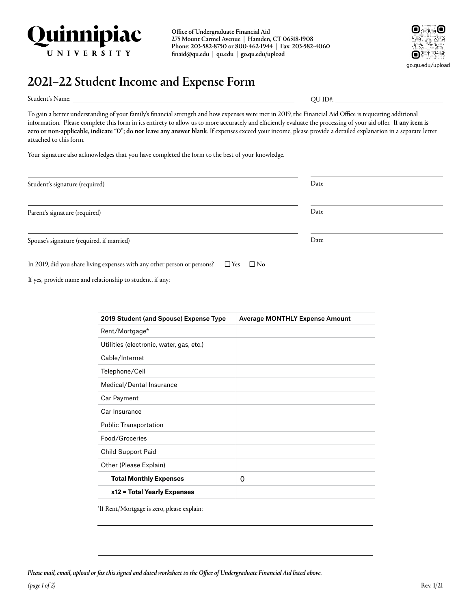

Office of Undergraduate Financial Aid 275 Mount Carmel Avenue | Hamden, CT 06518-1908 Phone: 203-582-8750 or 800-462-1944 | Fax: 203-582-4060 [finaid@qu.edu](mailto:finaid@quinnipiac.edu) | [qu.edu](http://qu.edu) | [go.qu.edu/upload](http://go.qu.edu/upload)



## 2021–22 Student Income and Expense Form

Student's Name:

QU ID#:  $\_$ 

To gain a better understanding of your family's financial strength and how expenses were met in 2019, the Financial Aid Office is requesting additional information. Please complete this form in its entirety to allow us to more accurately and efficiently evaluate the processing of your aid offer. If any item is zero or non-applicable, indicate "0"; do not leave any answer blank. If expenses exceed your income, please provide a detailed explanation in a separate letter attached to this form.

Your signature also acknowledges that you have completed the form to the best of your knowledge.

| Student's signature (required)                                                                      | Date |
|-----------------------------------------------------------------------------------------------------|------|
| Parent's signature (required)                                                                       | Date |
| Spouse's signature (required, if married)                                                           | Date |
| In 2019, did you share living expenses with any other person or persons? $\square$ Yes $\square$ No |      |
| If yes, provide name and relationship to student, if any: _                                         |      |

| 2019 Student (and Spouse) Expense Type   | <b>Average MONTHLY Expense Amount</b> |
|------------------------------------------|---------------------------------------|
| Rent/Mortgage*                           |                                       |
| Utilities (electronic, water, gas, etc.) |                                       |
| Cable/Internet                           |                                       |
| Telephone/Cell                           |                                       |
| Medical/Dental Insurance                 |                                       |
| Car Payment                              |                                       |
| Car Insurance                            |                                       |
| <b>Public Transportation</b>             |                                       |
| Food/Groceries                           |                                       |
| Child Support Paid                       |                                       |
| Other (Please Explain)                   |                                       |
| <b>Total Monthly Expenses</b>            | 0                                     |
| x12 = Total Yearly Expenses              |                                       |

\*If Rent/Mortgage is zero, please explain:

*Please mail, email, upload or fax this signed and dated worksheet to the Office of Undergraduate Financial Aid listed above.*